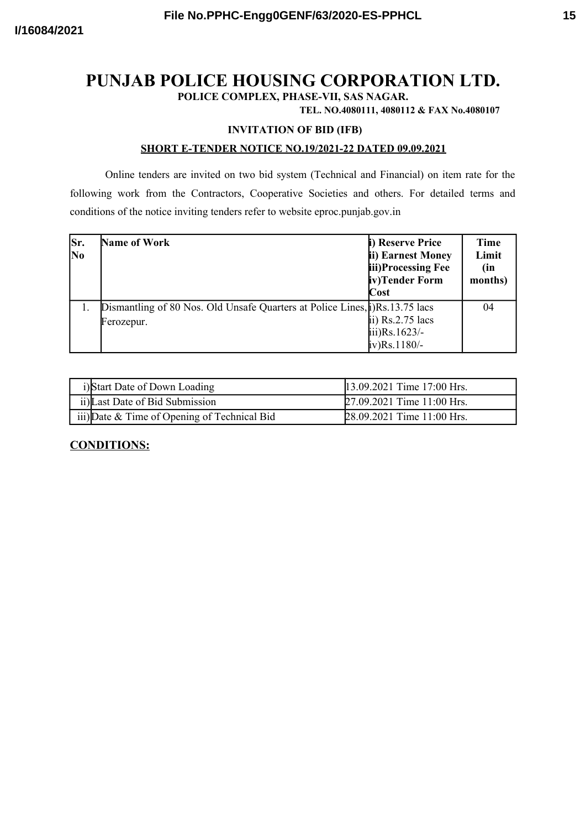# **PUNJAB POLICE HOUSING CORPORATION LTD.**

**POLICE COMPLEX, PHASE-VII, SAS NAGAR.**

**TEL. NO.4080111, 4080112 & FAX No.4080107**

#### **INVITATION OF BID (IFB)**

#### **SHORT E-TENDER NOTICE NO.19/2021-22 DATED 09.09.2021**

Online tenders are invited on two bid system (Technical and Financial) on item rate for the following work from the Contractors, Cooperative Societies and others. For detailed terms and conditions of the notice inviting tenders refer to website eproc.punjab.gov.in

| Sr.<br>N <sub>0</sub> | Name of Work                                                                                | i) Reserve Price<br>ii) Earnest Money<br>iii)Processing Fee<br>iv)Tender Form<br>$\cos t$ | <b>Time</b><br>Limit<br>(in<br>months) |
|-----------------------|---------------------------------------------------------------------------------------------|-------------------------------------------------------------------------------------------|----------------------------------------|
|                       | Dismantling of 80 Nos. Old Unsafe Quarters at Police Lines, [i)Rs. 13.75 lacs<br>Ferozepur. | ii) $Rs.2.75$ lacs<br>$\text{iii)}\text{Rs}.1623/-$<br>$iv)$ Rs. 1180/-                   | 04                                     |

| i)Start Date of Down Loading                 | 13.09.2021 Time 17:00 Hrs. |
|----------------------------------------------|----------------------------|
| ii) Last Date of Bid Submission              | 27.09.2021 Time 11:00 Hrs. |
| iii) Date & Time of Opening of Technical Bid | 28.09.2021 Time 11:00 Hrs. |

### **CONDITIONS:**